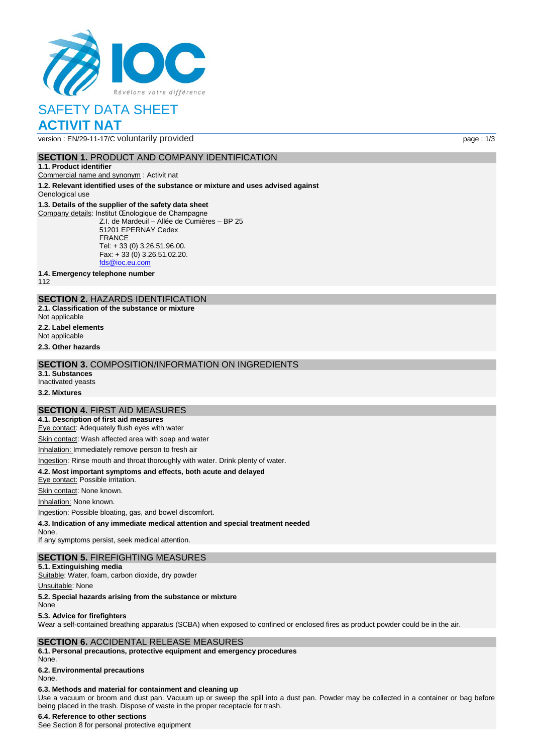

# SAFETY DATA SHEET **ACTIVIT NAT**

version : EN/29-11-17/C voluntarily provided page : 1/3

## **SECTION 1. PRODUCT AND COMPANY IDENTIFICATION**

#### **1.1. Product identifier**

Commercial name and synonym : Activit nat

**1.2. Relevant identified uses of the substance or mixture and uses advised against** Oenological use

### **1.3. Details of the supplier of the safety data sheet**

Company details: Institut Œnologique de Champagne Z.I. de Mardeuil – Allée de Cumières – BP 25 51201 EPERNAY Cedex FRANCE Tel: + 33 (0) 3.26.51.96.00. Fax: + 33 (0) 3.26.51.02.20. [fds@ioc.eu.com](mailto:fds@ioc.eu.com)

**1.4. Emergency telephone number**

112

## **SECTION 2.** HAZARDS IDENTIFICATION

**2.1. Classification of the substance or mixture**

Not applicable

**2.2. Label elements**

Not applicable

**2.3. Other hazards**

### **SECTION 3.** COMPOSITION/INFORMATION ON INGREDIENTS

**3.1. Substances** Inactivated yeasts

**3.2. Mixtures**

### **SECTION 4.** FIRST AID MEASURES

**4.1. Description of first aid measures**

Eye contact: Adequately flush eyes with water

Skin contact: Wash affected area with soap and water

Inhalation: Immediately remove person to fresh air

Ingestion: Rinse mouth and throat thoroughly with water. Drink plenty of water.

### **4.2. Most important symptoms and effects, both acute and delayed**

Eye contact: Possible irritation.

Skin contact: None known.

Inhalation: None known.

Ingestion: Possible bloating, gas, and bowel discomfort.

**4.3. Indication of any immediate medical attention and special treatment needed**

None. If any symptoms persist, seek medical attention.

# **SECTION 5.** FIREFIGHTING MEASURES

**5.1. Extinguishing media** Suitable: Water, foam, carbon dioxide, dry powder

Unsuitable: None

**5.2. Special hazards arising from the substance or mixture**

None

### **5.3. Advice for firefighters**

Wear a self-contained breathing apparatus (SCBA) when exposed to confined or enclosed fires as product powder could be in the air.

## **SECTION 6.** ACCIDENTAL RELEASE MEASURES

**6.1. Personal precautions, protective equipment and emergency procedures** None.

## **6.2. Environmental precautions**

None.

## **6.3. Methods and material for containment and cleaning up**

Use a vacuum or broom and dust pan. Vacuum up or sweep the spill into a dust pan. Powder may be collected in a container or bag before being placed in the trash. Dispose of waste in the proper receptacle for trash.

### **6.4. Reference to other sections**

See Section 8 for personal protective equipment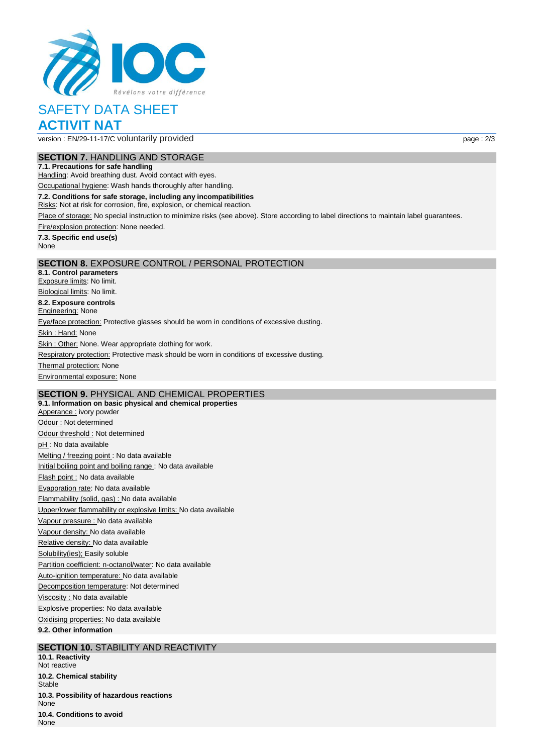

# SAFETY DATA SHEET **ACTIVIT NAT**

version : EN/29-11-17/C voluntarily provided page : 2/3

## **SECTION 7.** HANDLING AND STORAGE

**7.1. Precautions for safe handling** Handling: Avoid breathing dust. Avoid contact with eyes.

Occupational hygiene: Wash hands thoroughly after handling.

**7.2. Conditions for safe storage, including any incompatibilities**

Risks: Not at risk for corrosion, fire, explosion, or chemical reaction.

Place of storage: No special instruction to minimize risks (see above). Store according to label directions to maintain label guarantees.

Fire/explosion protection: None needed.

**7.3. Specific end use(s)** None

### **SECTION 8.** EXPOSURE CONTROL / PERSONAL PROTECTION

**8.1. Control parameters** Exposure limits: No limit. Biological limits: No limit. **8.2. Exposure controls Engineering: None** Eye/face protection: Protective glasses should be worn in conditions of excessive dusting. Skin: Hand: None Skin : Other: None. Wear appropriate clothing for work. Respiratory protection: Protective mask should be worn in conditions of excessive dusting. **Thermal protection: None** Environmental exposure: None

# **SECTION 9.** PHYSICAL AND CHEMICAL PROPERTIES

**9.1. Information on basic physical and chemical properties** Apperance : ivory powder Odour : Not determined Odour threshold : Not determined pH : No data available Melting / freezing point : No data available Initial boiling point and boiling range : No data available Flash point : No data available Evaporation rate: No data available Flammability (solid, gas) : No data available Upper/lower flammability or explosive limits: No data available Vapour pressure : No data available Vapour density: No data available Relative density: No data available Solubility(ies); Easily soluble Partition coefficient: n-octanol/water: No data available Auto-ignition temperature: No data available Decomposition temperature: Not determined Viscosity : No data available Explosive properties: No data available Oxidising properties: No data available **9.2. Other information**

## **SECTION 10.** STABILITY AND REACTIVITY

**10.1. Reactivity** Not reactive **10.2. Chemical stability Stable 10.3. Possibility of hazardous reactions** None **10.4. Conditions to avoid** None